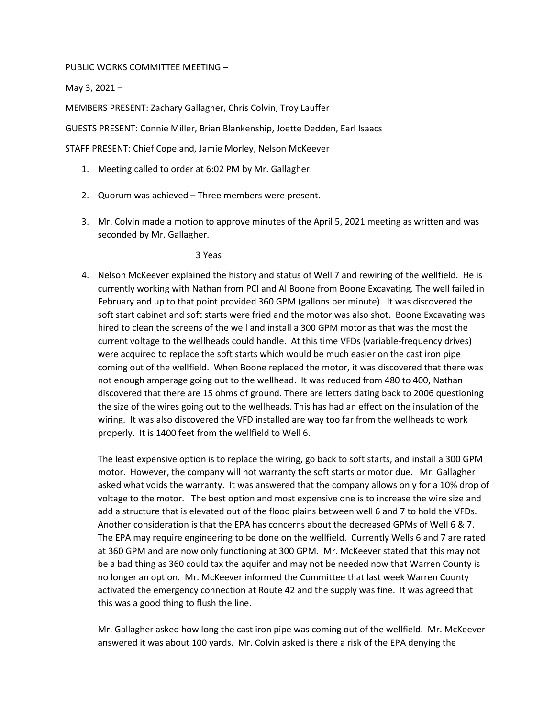## PUBLIC WORKS COMMITTEE MEETING –

May 3, 2021 –

MEMBERS PRESENT: Zachary Gallagher, Chris Colvin, Troy Lauffer

GUESTS PRESENT: Connie Miller, Brian Blankenship, Joette Dedden, Earl Isaacs

STAFF PRESENT: Chief Copeland, Jamie Morley, Nelson McKeever

- 1. Meeting called to order at 6:02 PM by Mr. Gallagher.
- 2. Quorum was achieved Three members were present.
- 3. Mr. Colvin made a motion to approve minutes of the April 5, 2021 meeting as written and was seconded by Mr. Gallagher.

3 Yeas

4. Nelson McKeever explained the history and status of Well 7 and rewiring of the wellfield. He is currently working with Nathan from PCI and Al Boone from Boone Excavating. The well failed in February and up to that point provided 360 GPM (gallons per minute). It was discovered the soft start cabinet and soft starts were fried and the motor was also shot. Boone Excavating was hired to clean the screens of the well and install a 300 GPM motor as that was the most the current voltage to the wellheads could handle. At this time VFDs (variable-frequency drives) were acquired to replace the soft starts which would be much easier on the cast iron pipe coming out of the wellfield. When Boone replaced the motor, it was discovered that there was not enough amperage going out to the wellhead. It was reduced from 480 to 400, Nathan discovered that there are 15 ohms of ground. There are letters dating back to 2006 questioning the size of the wires going out to the wellheads. This has had an effect on the insulation of the wiring. It was also discovered the VFD installed are way too far from the wellheads to work properly. It is 1400 feet from the wellfield to Well 6.

The least expensive option is to replace the wiring, go back to soft starts, and install a 300 GPM motor. However, the company will not warranty the soft starts or motor due. Mr. Gallagher asked what voids the warranty. It was answered that the company allows only for a 10% drop of voltage to the motor. The best option and most expensive one is to increase the wire size and add a structure that is elevated out of the flood plains between well 6 and 7 to hold the VFDs. Another consideration is that the EPA has concerns about the decreased GPMs of Well 6 & 7. The EPA may require engineering to be done on the wellfield. Currently Wells 6 and 7 are rated at 360 GPM and are now only functioning at 300 GPM. Mr. McKeever stated that this may not be a bad thing as 360 could tax the aquifer and may not be needed now that Warren County is no longer an option. Mr. McKeever informed the Committee that last week Warren County activated the emergency connection at Route 42 and the supply was fine. It was agreed that this was a good thing to flush the line.

Mr. Gallagher asked how long the cast iron pipe was coming out of the wellfield. Mr. McKeever answered it was about 100 yards. Mr. Colvin asked is there a risk of the EPA denying the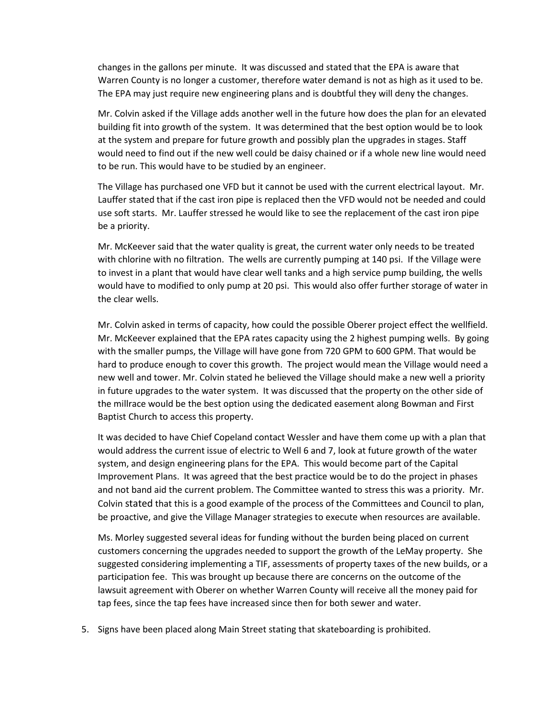changes in the gallons per minute. It was discussed and stated that the EPA is aware that Warren County is no longer a customer, therefore water demand is not as high as it used to be. The EPA may just require new engineering plans and is doubtful they will deny the changes.

Mr. Colvin asked if the Village adds another well in the future how does the plan for an elevated building fit into growth of the system. It was determined that the best option would be to look at the system and prepare for future growth and possibly plan the upgrades in stages. Staff would need to find out if the new well could be daisy chained or if a whole new line would need to be run. This would have to be studied by an engineer.

The Village has purchased one VFD but it cannot be used with the current electrical layout. Mr. Lauffer stated that if the cast iron pipe is replaced then the VFD would not be needed and could use soft starts. Mr. Lauffer stressed he would like to see the replacement of the cast iron pipe be a priority.

Mr. McKeever said that the water quality is great, the current water only needs to be treated with chlorine with no filtration. The wells are currently pumping at 140 psi. If the Village were to invest in a plant that would have clear well tanks and a high service pump building, the wells would have to modified to only pump at 20 psi. This would also offer further storage of water in the clear wells.

Mr. Colvin asked in terms of capacity, how could the possible Oberer project effect the wellfield. Mr. McKeever explained that the EPA rates capacity using the 2 highest pumping wells. By going with the smaller pumps, the Village will have gone from 720 GPM to 600 GPM. That would be hard to produce enough to cover this growth. The project would mean the Village would need a new well and tower. Mr. Colvin stated he believed the Village should make a new well a priority in future upgrades to the water system. It was discussed that the property on the other side of the millrace would be the best option using the dedicated easement along Bowman and First Baptist Church to access this property.

It was decided to have Chief Copeland contact Wessler and have them come up with a plan that would address the current issue of electric to Well 6 and 7, look at future growth of the water system, and design engineering plans for the EPA. This would become part of the Capital Improvement Plans. It was agreed that the best practice would be to do the project in phases and not band aid the current problem. The Committee wanted to stress this was a priority. Mr. Colvin stated that this is a good example of the process of the Committees and Council to plan, be proactive, and give the Village Manager strategies to execute when resources are available.

Ms. Morley suggested several ideas for funding without the burden being placed on current customers concerning the upgrades needed to support the growth of the LeMay property. She suggested considering implementing a TIF, assessments of property taxes of the new builds, or a participation fee. This was brought up because there are concerns on the outcome of the lawsuit agreement with Oberer on whether Warren County will receive all the money paid for tap fees, since the tap fees have increased since then for both sewer and water.

5. Signs have been placed along Main Street stating that skateboarding is prohibited.